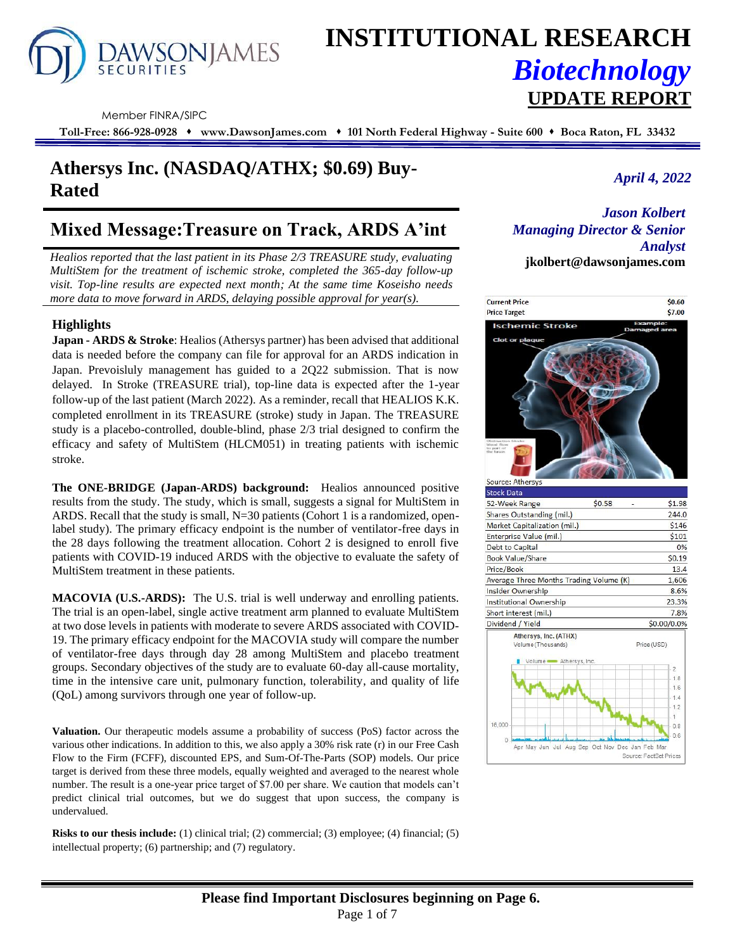

# **INSTITUTIONAL RESEARCH** *Biotechnology* **UPDATE REPORT**

Member FINRA/SIPC

**Toll-Free: 866-928-0928** ⬧ **www.DawsonJames.com** ⬧ **101 North Federal Highway - Suite 600** ⬧ **Boca Raton, FL 33432**

## *April 4, 2022* **Athersys Inc. (NASDAQ/ATHX; \$0.69) Buy-Rated**

## **Mixed Message:Treasure on Track, ARDS A'int**

*Healios reported that the last patient in its Phase 2/3 TREASURE study, evaluating MultiStem for the treatment of ischemic stroke, completed the 365-day follow-up visit. Top-line results are expected next month; At the same time Koseisho needs more data to move forward in ARDS, delaying possible approval for year(s).*

### **Highlights**

**Japan - ARDS & Stroke**: Healios (Athersys partner) has been advised that additional data is needed before the company can file for approval for an ARDS indication in Japan. Prevoisluly management has guided to a 2Q22 submission. That is now delayed. In Stroke (TREASURE trial), top-line data is expected after the 1-year follow-up of the last patient (March 2022). As a reminder, recall that HEALIOS K.K. completed enrollment in its TREASURE (stroke) study in Japan. The TREASURE study is a placebo-controlled, double-blind, phase 2/3 trial designed to confirm the efficacy and safety of MultiStem (HLCM051) in treating patients with ischemic stroke.

**The ONE-BRIDGE (Japan-ARDS) background:** Healios announced positive results from the study. The study, which is small, suggests a signal for MultiStem in ARDS. Recall that the study is small, N=30 patients (Cohort 1 is a randomized, openlabel study). The primary efficacy endpoint is the number of ventilator-free days in the 28 days following the treatment allocation. Cohort 2 is designed to enroll five patients with COVID-19 induced ARDS with the objective to evaluate the safety of MultiStem treatment in these patients.

**MACOVIA (U.S.-ARDS):** The U.S. trial is well underway and enrolling patients. The trial is an open-label, single active treatment arm planned to evaluate MultiStem at two dose levels in patients with moderate to severe ARDS associated with COVID-19. The primary efficacy endpoint for the MACOVIA study will compare the number of ventilator-free days through day 28 among MultiStem and placebo treatment groups. Secondary objectives of the study are to evaluate 60-day all-cause mortality, time in the intensive care unit, pulmonary function, tolerability, and quality of life (QoL) among survivors through one year of follow-up.

**Valuation.** Our therapeutic models assume a probability of success (PoS) factor across the various other indications. In addition to this, we also apply a 30% risk rate (r) in our Free Cash Flow to the Firm (FCFF), discounted EPS, and Sum-Of-The-Parts (SOP) models. Our price target is derived from these three models, equally weighted and averaged to the nearest whole number. The result is a one-year price target of \$7.00 per share. We caution that models can't predict clinical trial outcomes, but we do suggest that upon success, the company is undervalued.

**Risks to our thesis include:** (1) clinical trial; (2) commercial; (3) employee; (4) financial; (5) intellectual property; (6) partnership; and (7) regulatory.

*Jason Kolbert Managing Director & Senior Analyst* **jkolbert@dawsonjames.com**

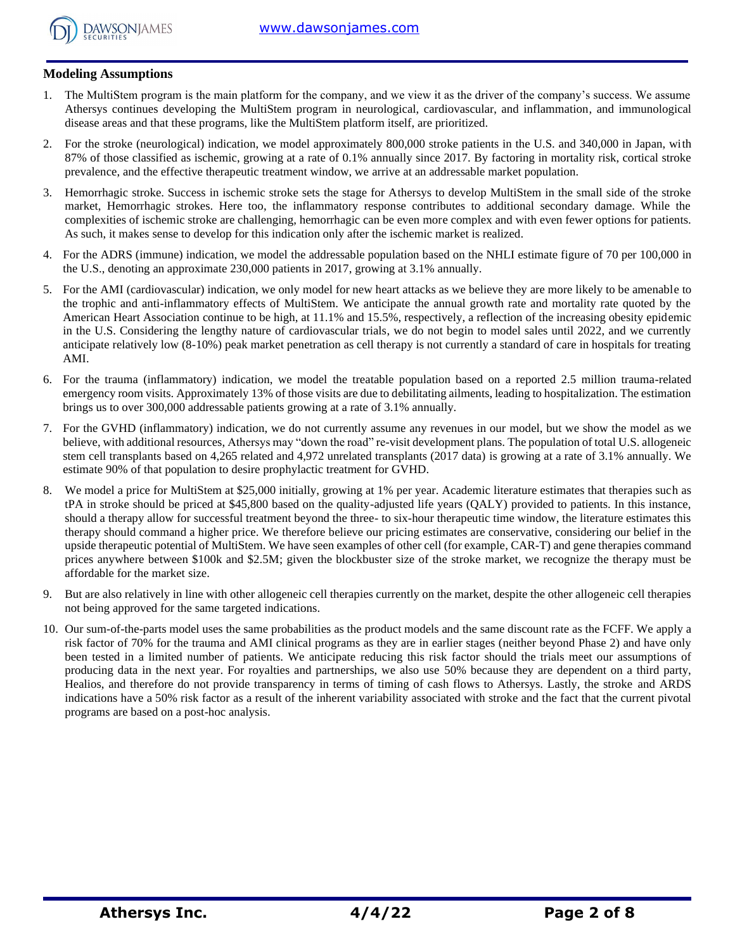

### **Modeling Assumptions**

- 1. The MultiStem program is the main platform for the company, and we view it as the driver of the company's success. We assume Athersys continues developing the MultiStem program in neurological, cardiovascular, and inflammation, and immunological disease areas and that these programs, like the MultiStem platform itself, are prioritized.
- 2. For the stroke (neurological) indication, we model approximately 800,000 stroke patients in the U.S. and 340,000 in Japan, with 87% of those classified as ischemic, growing at a rate of 0.1% annually since 2017. By factoring in mortality risk, cortical stroke prevalence, and the effective therapeutic treatment window, we arrive at an addressable market population.
- 3. Hemorrhagic stroke. Success in ischemic stroke sets the stage for Athersys to develop MultiStem in the small side of the stroke market, Hemorrhagic strokes. Here too, the inflammatory response contributes to additional secondary damage. While the complexities of ischemic stroke are challenging, hemorrhagic can be even more complex and with even fewer options for patients. As such, it makes sense to develop for this indication only after the ischemic market is realized.
- 4. For the ADRS (immune) indication, we model the addressable population based on the NHLI estimate figure of 70 per 100,000 in the U.S., denoting an approximate 230,000 patients in 2017, growing at 3.1% annually.
- 5. For the AMI (cardiovascular) indication, we only model for new heart attacks as we believe they are more likely to be amenable to the trophic and anti-inflammatory effects of MultiStem. We anticipate the annual growth rate and mortality rate quoted by the American Heart Association continue to be high, at 11.1% and 15.5%, respectively, a reflection of the increasing obesity epidemic in the U.S. Considering the lengthy nature of cardiovascular trials, we do not begin to model sales until 2022, and we currently anticipate relatively low (8-10%) peak market penetration as cell therapy is not currently a standard of care in hospitals for treating AMI.
- 6. For the trauma (inflammatory) indication, we model the treatable population based on a reported 2.5 million trauma-related emergency room visits. Approximately 13% of those visits are due to debilitating ailments, leading to hospitalization. The estimation brings us to over 300,000 addressable patients growing at a rate of 3.1% annually.
- 7. For the GVHD (inflammatory) indication, we do not currently assume any revenues in our model, but we show the model as we believe, with additional resources, Athersys may "down the road" re-visit development plans. The population of total U.S. allogeneic stem cell transplants based on 4,265 related and 4,972 unrelated transplants (2017 data) is growing at a rate of 3.1% annually. We estimate 90% of that population to desire prophylactic treatment for GVHD.
- 8. We model a price for MultiStem at \$25,000 initially, growing at 1% per year. Academic literature estimates that therapies such as tPA in stroke should be priced at \$45,800 based on the quality-adjusted life years (QALY) provided to patients. In this instance, should a therapy allow for successful treatment beyond the three- to six-hour therapeutic time window, the literature estimates this therapy should command a higher price. We therefore believe our pricing estimates are conservative, considering our belief in the upside therapeutic potential of MultiStem. We have seen examples of other cell (for example, CAR-T) and gene therapies command prices anywhere between \$100k and \$2.5M; given the blockbuster size of the stroke market, we recognize the therapy must be affordable for the market size.
- 9. But are also relatively in line with other allogeneic cell therapies currently on the market, despite the other allogeneic cell therapies not being approved for the same targeted indications.
- 10. Our sum-of-the-parts model uses the same probabilities as the product models and the same discount rate as the FCFF. We apply a risk factor of 70% for the trauma and AMI clinical programs as they are in earlier stages (neither beyond Phase 2) and have only been tested in a limited number of patients. We anticipate reducing this risk factor should the trials meet our assumptions of producing data in the next year. For royalties and partnerships, we also use 50% because they are dependent on a third party, Healios, and therefore do not provide transparency in terms of timing of cash flows to Athersys. Lastly, the stroke and ARDS indications have a 50% risk factor as a result of the inherent variability associated with stroke and the fact that the current pivotal programs are based on a post-hoc analysis.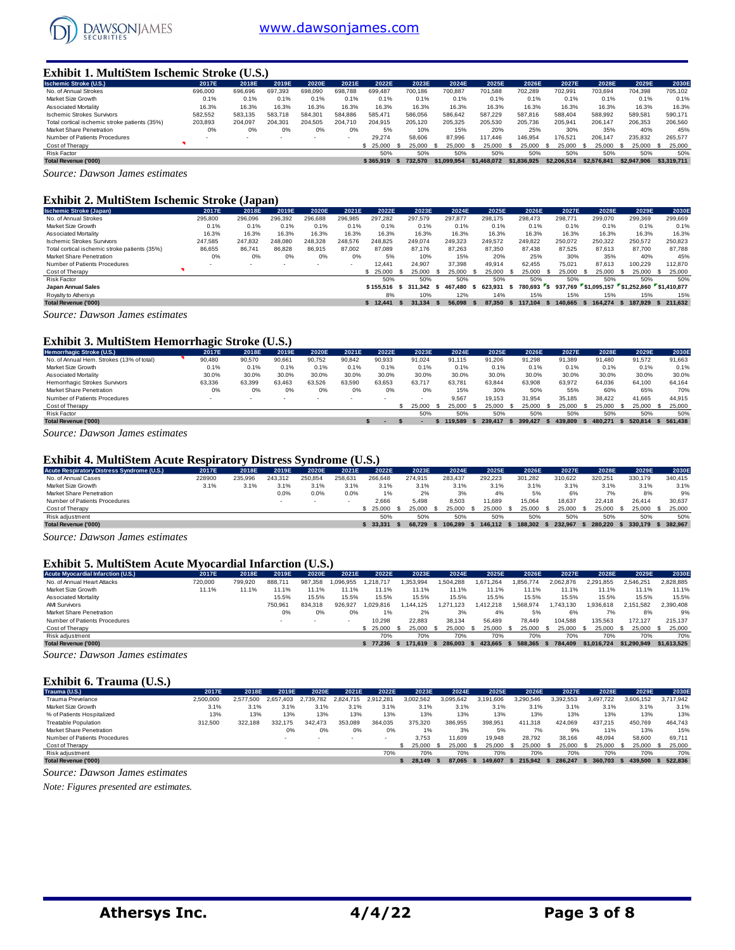

#### **Exhibit 1. MultiStem Ischemic Stroke (U.S.)**

| <b>Ischemic Stroke (U.S.)</b>                 | 2017E   | 2018E                    | 2019E   | 2020E   | 2021E                    | 2022E     | 2023E   | 2024E       | 2025E       | 2026E       | 2027E       | 2028E       | 2029E       | 2030E         |
|-----------------------------------------------|---------|--------------------------|---------|---------|--------------------------|-----------|---------|-------------|-------------|-------------|-------------|-------------|-------------|---------------|
| No. of Annual Strokes                         | 696,000 | 696,696                  | 697.393 | 698,090 | 698.788                  | 699.487   | 700.186 | 700.887     | 701.588     | 702.289     | 702.991     | 703.694     | 704.398     | 705.102       |
| Market Size Growth                            | 0.1%    | 0.1%                     | 0.1%    | 0.1%    | 0.1%                     | 0.1%      | 0.1%    | 0.1%        | 0.1%        | 0.1%        | 0.1%        | 0.1%        | 0.1%        | 0.1%          |
| <b>Associated Mortality</b>                   | 16.3%   | 16.3%                    | 16.3%   | 16.3%   | 16.3%                    | 16.3%     | 16.3%   | 16.3%       | 16.3%       | 16.3%       | 16.3%       | 16.3%       | 16.3%       | 16.3%         |
| <b>Ischemic Strokes Survivors</b>             | 582.552 | 583.135                  | 583.718 | 584.301 | 584.886                  | 585.471   | 586.056 | 586.642     | 587.229     | 587.816     | 588.404     | 588.992     | 589.581     | 590.171       |
| Total cortical ischemic stroke patients (35%) | 203.893 | 204.097                  | 204.301 | 204.505 | 204.710                  | 204.915   | 205.120 | 205.325     | 205.530     | 205.736     | 205.941     | 206,147     | 206.353     | 206,560       |
| Market Share Penetration                      | 0%      | 0%                       | 0%      | 0%      | 0%                       | 5%        | 10%     | 15%         | 20%         | 25%         | 30%         | 35%         | 40%         | 45%           |
| Number of Patients Procedures                 |         | $\overline{\phantom{a}}$ |         | ۰.      | $\overline{\phantom{a}}$ | 29.274    | 58,606  | 87.996      | 117,446     | 146.954     | 176.521     | 206.147     | 235.832     | 265.577       |
| Cost of Therapy                               |         |                          |         |         |                          | \$ 25,000 | 25,000  | 25.000      | 25.000      | 25,000      | 25.000      | 25,000      | 25.000      | 25,000<br>- S |
| <b>Risk Factor</b>                            |         |                          |         |         |                          | 50%       | 50%     | 50%         | 50%         | 50%         | 50%         | 50%         | 50%         | 50%           |
| <b>Total Revenue ('000)</b>                   |         |                          |         |         |                          | \$365.919 | 732.570 | \$1.099.954 | \$1,468,072 | \$1,836,925 | \$2,206,514 | \$2,576,841 | \$2,947,906 | \$3,319,711   |
| $\sim$<br>$\sim$                              |         |                          |         |         |                          |           |         |             |             |             |             |             |             |               |

*Source: Dawson James estimates*

#### **Exhibit 2. MultiStem Ischemic Stroke (Japan)**

| <b>Ischemic Stroke (Japan)</b>                | 2017E   | 2018E   | 2019E                    | 2020E   | 2021E                    | 2022E     | 2023E   |      | 2024E   | 2025E          |      | 2026E     |    | 2027E   |      | 2028E                               |      | 2029E     |            | 2030E   |
|-----------------------------------------------|---------|---------|--------------------------|---------|--------------------------|-----------|---------|------|---------|----------------|------|-----------|----|---------|------|-------------------------------------|------|-----------|------------|---------|
| No. of Annual Strokes                         | 295,800 | 296.096 | 296.392                  | 296.688 | 296.985                  | 297.282   | 297.579 |      | 297.877 | 298.175        |      | 298.473   |    | 298,771 |      | 299,070                             |      | 299.369   |            | 299.669 |
| Market Size Growth                            | 0.1%    | 0.1%    | 0.1%                     | 0.1%    | 0.1%                     | 0.1%      | 0.1%    |      | 0.1%    | 0.1%           |      | 0.1%      |    | 0.1%    |      | 0.1%                                |      | 0.1%      |            | 0.1%    |
| Associated Mortality                          | 16.3%   | 16.3%   | 16.3%                    | 16.3%   | 16.3%                    | 16.3%     | 16.3%   |      | 16.3%   | 16.3%          |      | 16.3%     |    | 16.3%   |      | 16.3%                               |      | 16.3%     |            | 16.3%   |
| <b>Ischemic Strokes Survivors</b>             | 247,585 | 247.832 | 248.080                  | 248.328 | 248,576                  | 248.825   | 249,074 |      | 249,323 | 249,572        |      | 249,822   |    | 250,072 |      | 250,322                             |      | 250,572   |            | 250,823 |
| Total cortical ischemic stroke patients (35%) | 86,655  | 86.741  | 86.828                   | 86.915  | 87.002                   | 87.089    | 87.176  |      | 87.263  | 87.350         |      | 87.438    |    | 87.525  |      | 87.613                              |      | 87.700    |            | 87.788  |
| Market Share Penetration                      | 0%      | 0%      | 0%                       | 0%      | 0%                       | 5%        | 10%     |      | 15%     | 20%            |      | 25%       |    | 30%     |      | 35%                                 |      | 40%       |            | 45%     |
| Number of Patients Procedures                 |         |         | $\overline{\phantom{a}}$ | $\sim$  | $\overline{\phantom{a}}$ | 12,441    | 24.907  |      | 37.398  | 49.914         |      | 62.455    |    | 75.021  |      | 87.613                              |      | 100.229   |            | 112,870 |
| Cost of Therapy                               |         |         |                          |         |                          | \$25.000  | 25,000  | - 55 | 25,000  | 25.000         |      | 25.000    |    | 25,000  | - 55 | 25.000                              | - 55 | 25,000 \$ |            | 25,000  |
| <b>Risk Factor</b>                            |         |         |                          |         |                          | 50%       | 50%     |      | 50%     | 50%            |      | 50%       |    | 50%     |      | 50%                                 |      | 50%       |            | 50%     |
| Japan Annual Sales                            |         |         |                          |         |                          | \$155.516 | 311.342 | - S  | 467.480 | 623.931<br>- 5 |      | 780.693 S |    | 937.769 |      | \$1.095.157 \$1.252.860 \$1.410.877 |      |           |            |         |
| Royalty to Athersys                           |         |         |                          |         |                          | 8%        | 10%     |      | 12%     | 14%            |      | 15%       |    | 15%     |      | 15%                                 |      | 15%       |            | 15%     |
| <b>Total Revenue ('000)</b>                   |         |         |                          |         |                          | \$12.441  | 31.134  | - 5  | 56.098  | 87.350         | - 55 | 117.104   | s. | 140.665 | -S   | 164.274 \$                          |      | 187.929   | \$ 211,632 |         |
| Counse Damas James estimates                  |         |         |                          |         |                          |           |         |      |         |                |      |           |    |         |      |                                     |      |           |            |         |

*Source: Dawson James estimates*

#### **Exhibit 3. MultiStem Hemorrhagic Stroke (U.S.)**

| Hemorrhagic Stroke (U.S.)                                                        | 2017E                    | 2018E  | 2019E  | 2020E                    | 2021E  | 2022E  | 2023E  | 2024E  |      | 2025E   | 2026E   |     | 2027E   | 2028E   | 2029E   |      | 2030E   |
|----------------------------------------------------------------------------------|--------------------------|--------|--------|--------------------------|--------|--------|--------|--------|------|---------|---------|-----|---------|---------|---------|------|---------|
| No. of Annual Hem. Strokes (13% of total)                                        | 90.480                   | 90.570 | 90.661 | 90,752                   | 90,842 | 90,933 | 91.024 | 91.115 |      | 91.206  | 91.298  |     | 91.389  | 91.480  | 91.572  |      | 91,663  |
| Market Size Growth                                                               | 0.1%                     | 0.1%   | 0.1%   | 0.1%                     | 0.1%   | 0.1%   | 0.1%   |        | 0.1% | 0.1%    | 0.1%    |     | 0.1%    | 0.1%    | 0.1%    |      | 0.1%    |
| Associated Mortality                                                             | 30.0%                    | 30.0%  | 30.0%  | 30.0%                    | 30.0%  | 30.0%  | 30.0%  | 30.0%  |      | 30.0%   | 30.0%   |     | 30.0%   | 30.0%   | 30.0%   |      | 30.0%   |
| Hemorrhagic Strokes Survivors                                                    | 63.336                   | 63.399 | 63.463 | 63.526                   | 63.590 | 63.653 | 63.717 | 63.781 |      | 63.844  | 63.908  |     | 63.972  | 64.036  | 64.100  |      | 64.164  |
| <b>Market Share Penetration</b>                                                  | 0%                       | 0%     | 0%     | 0%                       | 0%     | 0%     | 0%     |        | 15%  | 30%     | 50%     |     | 55%     | 60%     | 65%     |      | 70%     |
| Number of Patients Procedures                                                    | $\overline{\phantom{a}}$ |        | . .    | $\overline{\phantom{a}}$ | $\sim$ | $\sim$ |        | 9.567  |      | 19.153  | 31.954  |     | 35,185  | 38.422  | 41.665  |      | 44.915  |
| Cost of Therapy                                                                  |                          |        |        |                          |        |        | 25.000 | 25.000 |      | 25.000  | 25.000  |     | 25.000  | 25.000  | 25,000  | - 55 | 25,000  |
| Risk Factor                                                                      |                          |        |        |                          |        |        | 50%    |        | 50%  | 50%     |         | 50% | 50%     | 50%     | 50%     |      | 50%     |
| <b>Total Revenue ('000)</b>                                                      |                          |        |        |                          |        |        |        | 19.589 |      | 239,417 | 399.427 |     | 439.809 | 480.271 | 520.814 |      | 561.438 |
| $\overline{\phantom{a}}$<br>$\overline{\phantom{a}}$<br>$\overline{\phantom{0}}$ |                          |        |        |                          |        |        |        |        |      |         |         |     |         |         |         |      |         |

*Source: Dawson James estimates*

#### **Exhibit 4. MultiStem Acute Respiratory Distress Syndrome (U.S.)**

| Acute Respiratory Distress Syndrome (U.S.) | 2017E  | 2018E   | 2019E   | 2020E   | 2021E  | 2022E   | 2023E   | 2024E   | 2025E   | 2026E   | 2027E   |         | 2028E | 2029E   | 2030E   |
|--------------------------------------------|--------|---------|---------|---------|--------|---------|---------|---------|---------|---------|---------|---------|-------|---------|---------|
| No. of Annual Cases                        | 228900 | 235.996 | 243.312 | 250.854 | 258.63 | 266,648 | 274.915 | 283.437 | 292.223 | 301.282 | 310.622 | 320.251 |       | 330,179 | 340.415 |
| Market Size Growth                         | 3.1%   | 3.1%    | 3.1%    | 3.1%    | 3.1%   | 3.1%    | 3.1%    | 3.1%    | 3.1%    | 3.1%    | 3.1%    |         | 3.1%  | 3.1%    | 3.1%    |
| Market Share Penetration                   |        |         | 0.0%    | 0.0%    | 0.0%   | 1%      | 2%      | 3%      | 4%      | 5%      | 6%      |         | 7%    | 8%      | 9%      |
| Number of Patients Procedures              |        |         |         |         |        | 2.666   | 5.498   | 8.503   | 1.689   | 15,064  | 18.637  | 22.418  |       | 26.414  | 30.637  |
| Cost of Therapy                            |        |         |         |         |        | 25.000  | 25,000  | 25,000  | 25.000  | 25,000  | 25.000  | 25,000  |       | 25.000  | 25,000  |
| Risk adjustment                            |        |         |         |         |        | 50%     | 50%     | 50%     | 50%     | 50%     | 50%     |         | 50%   | 50%     | 50%     |
| <b>Total Revenue ('000)</b>                |        |         |         |         |        | 33.331  | 68.729  | 06.289  | 146.112 | 188.302 | 232.967 | 280.220 |       | 330.179 | 382.967 |
|                                            |        |         |         |         |        |         |         |         |         |         |         |         |       |         |         |

*Source: Dawson James estimates*

#### **Exhibit 5. MultiStem Acute Myocardial Infarction (U.S.)**

| <b>Acute Myocardial Infarction (U.S.)</b> | 2017E   | 2018E   | 2019E   | 2020E   | 2021E    | 2022E     | 2023E    | 2024E     | 2025E         | 2026E     | 2027E     | 2028E       | 2029E       | 2030E       |
|-------------------------------------------|---------|---------|---------|---------|----------|-----------|----------|-----------|---------------|-----------|-----------|-------------|-------------|-------------|
| No. of Annual Heart Attacks               | 720,000 | 799.920 | 888.71  | 987.358 | .096.955 | .218.717  | .353.994 | 1.504.288 | 1.671.264     | .856.774  | 2.062.876 | 2.291.855   | 2.546.251   | 2.828.885   |
| Market Size Growth                        | 11.1%   | 11.1%   | 1.1%    | $1.1\%$ |          | 1.1%      | 11.1%    | 11.1%     | 11.1%         | 1.1%      | 11.1%     | 11.1%       | 11.1%       | 11.1%       |
| Associated Mortality                      |         |         | 15.5%   | 15.5%   | 15.5%    | 15.5%     | 15.5%    | 15.5%     | 15.5%         | 15.5%     | 15.5%     | 15.5%       | 15.5%       | 15.5%       |
| <b>AMI Survivors</b>                      |         |         | 750.961 | 834.318 | 926.927  | .029.816  | 144.125  | 1.271.123 | 1.412.218     | 1.568.974 | .743.130  | 1.936.618   | 2.151.582   | 2.390.408   |
| Market Share Penetration                  |         |         | 0%      | 0%      | 0%       |           | 2%       | 3%        | 4%            | 5%        | 6%        | 7%          | 8%          | 9%          |
| Number of Patients Procedures             |         |         | $\sim$  | $\sim$  |          | 10.298    | 22,883   | 38.134    | 56.489        | 78.449    | 104.588   | 135.563     | 172.127     | 215.137     |
| Cost of Therapy                           |         |         |         |         |          | \$ 25,000 | 25.000   | 25,000    | 25,000<br>- 5 | 25.000    | 25,000    | 25,000      | 25.000      | 25,000      |
| Risk adjustment                           |         |         |         |         |          | 70%       | 70%      | 70%       | 70%           | 70%       | 70%       | 70%         | 70%         | 70%         |
| <b>Total Revenue ('000)</b>               |         |         |         |         |          | \$77.236  | 171.619  | 286,003   | 423.665       | 588.365   | 784.409   | \$1,016,724 | \$1.290.949 | \$1,613,525 |

*Source: Dawson James estimates*

#### **Exhibit 6. Trauma (U.S.)**

| Trauma (U.S.)                 | 2017E     | 2018E     | 2019E     | 2020E         | 2021E                    | 2022E     | 2023E     | 2024E     | 2025E     | 2026E     | 2027E     | 2028E     | 2029E     | 2030E     |
|-------------------------------|-----------|-----------|-----------|---------------|--------------------------|-----------|-----------|-----------|-----------|-----------|-----------|-----------|-----------|-----------|
| Trauma Prevelance             | 2.500.000 | 2.577.500 | 2.657.403 | 2.739.<br>782 | 2.824.715                | 2.912.281 | 3.002.562 | 3.095.642 | 3.191.606 | 3.290.546 | 3.392.553 | 3.497.722 | 3.606.152 | 3.717.942 |
| Market Size Growth            | 3.1%      | 3.1%      | 3.1%      | 3.1%          | 3.1%                     | 3.1%      | 3.1%      | 3.1%      | 3.1%      | 3.1%      | 3.1%      | 3.1%      | 3.1%      | 3.1%      |
| % of Patients Hospitalized    | 13%       | 13%       | 13%       | 13%           | 13%                      | 13%       | 13%       | 13%       | 13%       | 13%       | 13%       | 13%       | 13%       | 13%       |
| Treatable Population          | 312,500   | 322.188   | 332.175   | 342,473       | 353.089                  | 364.035   | 375,320   | 386.955   | 398.951   | 411.318   | 424.069   | 437.215   | 450.769   | 464.743   |
| Market Share Penetration      |           |           | 0%        | 0%            | 0%                       | 0%        | 1%        | 3%        | 5%        | 7%        | 9%        | 11%       | 13%       | 15%       |
| Number of Patients Procedures |           |           |           |               | $\overline{\phantom{a}}$ |           | 3.753     | 11,609    | 19.948    | 28,792    | 38.166    | 48.094    | 58,600    | 69.711    |
| Cost of Therapy               |           |           |           |               |                          |           | 25.000    | 25.000    | 25,000    | 25,000    | 25,000    | 25.000    | 25,000 \$ | 25.000    |
| Risk adjustment               |           |           |           |               |                          | 70%       | 70%       | 70%       | 70%       | 70%       | 70%       | 70%       | 70%       | 70%       |
| Total Revenue ('000)          |           |           |           |               |                          |           | 28.149    | 87.065    | 149,607   | 215.942   | 286,247   | 360.703   | 439.500   | 522.836   |

*Source: Dawson James estimates*

*Note: Figures presented are estimates.*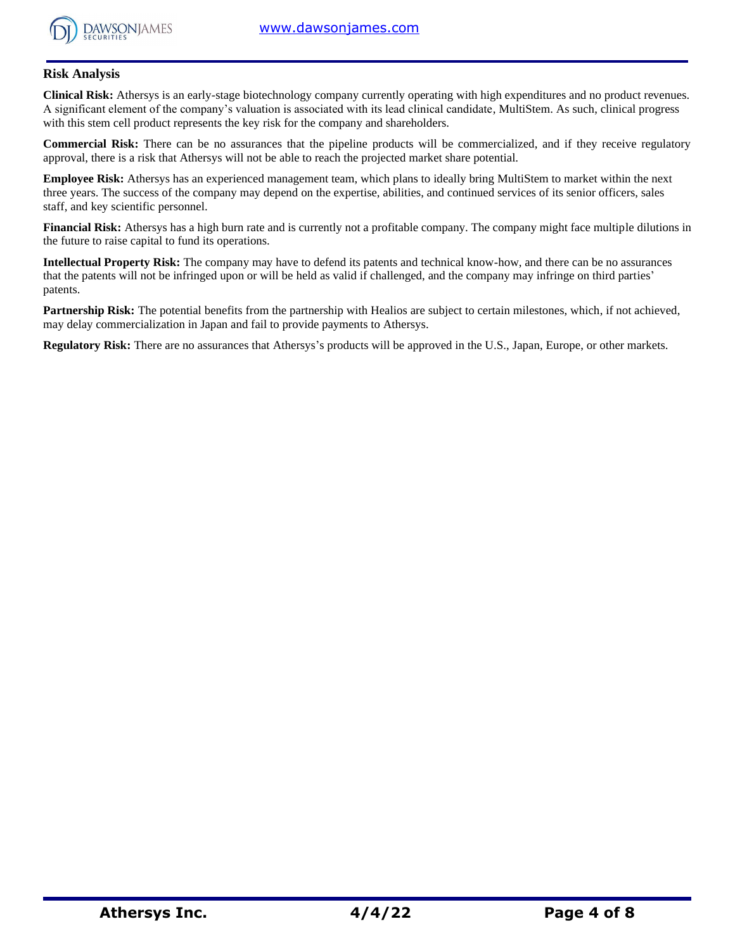

### **Risk Analysis**

**Clinical Risk:** Athersys is an early-stage biotechnology company currently operating with high expenditures and no product revenues. A significant element of the company's valuation is associated with its lead clinical candidate, MultiStem. As such, clinical progress with this stem cell product represents the key risk for the company and shareholders.

**Commercial Risk:** There can be no assurances that the pipeline products will be commercialized, and if they receive regulatory approval, there is a risk that Athersys will not be able to reach the projected market share potential.

**Employee Risk:** Athersys has an experienced management team, which plans to ideally bring MultiStem to market within the next three years. The success of the company may depend on the expertise, abilities, and continued services of its senior officers, sales staff, and key scientific personnel.

**Financial Risk:** Athersys has a high burn rate and is currently not a profitable company. The company might face multiple dilutions in the future to raise capital to fund its operations.

**Intellectual Property Risk:** The company may have to defend its patents and technical know-how, and there can be no assurances that the patents will not be infringed upon or will be held as valid if challenged, and the company may infringe on third parties' patents.

Partnership Risk: The potential benefits from the partnership with Healios are subject to certain milestones, which, if not achieved, may delay commercialization in Japan and fail to provide payments to Athersys.

**Regulatory Risk:** There are no assurances that Athersys's products will be approved in the U.S., Japan, Europe, or other markets.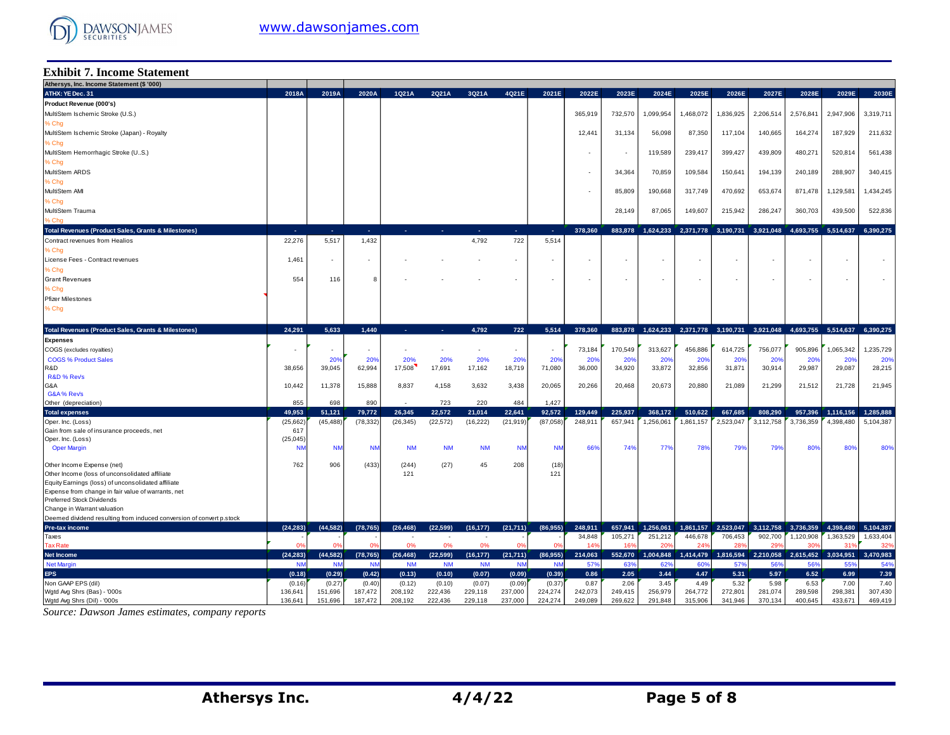

#### **Exhibit 7. Income Statement**

| Athersys, Inc. Income Statement (\$ '000)                                              |                   |                          |                          |                   |                          |                   |                   |                   |                          |                 |                 |                          |                          |                 |                 |                                         |                 |
|----------------------------------------------------------------------------------------|-------------------|--------------------------|--------------------------|-------------------|--------------------------|-------------------|-------------------|-------------------|--------------------------|-----------------|-----------------|--------------------------|--------------------------|-----------------|-----------------|-----------------------------------------|-----------------|
| ATHX: YE Dec. 31                                                                       | 2018A             | 2019A                    | 2020A                    | 1Q21A             | 2Q21A                    | 3Q21A             | 4Q21E             | 2021E             | 2022E                    | 2023E           | 2024E           | 2025E                    | 2026E                    | 2027E           | 2028E           | 2029E                                   | 2030E           |
| Product Revenue (000's)                                                                |                   |                          |                          |                   |                          |                   |                   |                   |                          |                 |                 |                          |                          |                 |                 |                                         |                 |
| MultiStem Ischemic Stroke (U.S.)                                                       |                   |                          |                          |                   |                          |                   |                   |                   | 365,919                  | 732,570         | 1,099,954       | 1,468,072                | .836,925                 | 2,206,514       | 2,576,841       | 2,947,906                               | 3,319,711       |
| % Chg                                                                                  |                   |                          |                          |                   |                          |                   |                   |                   |                          |                 |                 |                          |                          |                 |                 |                                         |                 |
| MultiStem Ischemic Stroke (Japan) - Royalty                                            |                   |                          |                          |                   |                          |                   |                   |                   | 12,44'                   | 31,134          | 56,098          | 87,350                   | 117,104                  | 140,665         | 164,274         | 187,929                                 | 211,632         |
| % Chg                                                                                  |                   |                          |                          |                   |                          |                   |                   |                   |                          |                 |                 |                          |                          |                 |                 |                                         |                 |
| MultiStem Hemorrhagic Stroke (US.)                                                     |                   |                          |                          |                   |                          |                   |                   |                   |                          |                 | 119,589         | 239,417                  | 399,427                  | 439,809         | 480,271         | 520,814                                 | 561,438         |
| % Chg                                                                                  |                   |                          |                          |                   |                          |                   |                   |                   |                          |                 |                 |                          |                          |                 |                 |                                         |                 |
| MultiStem ARDS                                                                         |                   |                          |                          |                   |                          |                   |                   |                   |                          | 34,364          | 70,859          | 109,584                  | 150,641                  | 194,139         | 240,189         | 288,907                                 | 340,415         |
| % Chg                                                                                  |                   |                          |                          |                   |                          |                   |                   |                   |                          |                 |                 |                          |                          |                 |                 |                                         |                 |
| MultiStem AMI                                                                          |                   |                          |                          |                   |                          |                   |                   |                   |                          | 85,809          | 190,668         | 317,749                  | 470,692                  | 653,674         | 871.478         | 1,129,581                               | 1,434,245       |
|                                                                                        |                   |                          |                          |                   |                          |                   |                   |                   |                          |                 |                 |                          |                          |                 |                 |                                         |                 |
| % Chg                                                                                  |                   |                          |                          |                   |                          |                   |                   |                   |                          |                 |                 |                          |                          |                 |                 |                                         |                 |
| MultiStem Trauma                                                                       |                   |                          |                          |                   |                          |                   |                   |                   |                          | 28,149          | 87,065          | 149,607                  | 215,942                  | 286,247         | 360,703         | 439,500                                 | 522,836         |
| . Cho                                                                                  |                   |                          |                          |                   |                          |                   |                   |                   |                          |                 |                 |                          |                          |                 |                 |                                         |                 |
| Total Revenues (Product Sales, Grants & Milestones)                                    | a.                | .                        | ne.                      | ×.                | п.                       | ÷.                | na.               | - 40              | 378.360                  | 883,878         | 1,624,233       | 2,371,778                | 3,190,731                | 3,921,048       | 4,693,755       | 5,514,637                               | 6.390.275       |
| Contract revenues from Healios                                                         | 22,276            | 5,517                    | 1,432                    |                   |                          | 4,792             | 722               | 5,514             |                          |                 |                 |                          |                          |                 |                 |                                         |                 |
| % Chg                                                                                  |                   |                          |                          |                   |                          |                   |                   |                   |                          |                 |                 |                          |                          |                 |                 |                                         |                 |
| License Fees - Contract revenues                                                       | 1,461             | $\overline{\phantom{a}}$ | $\overline{\phantom{a}}$ |                   |                          |                   | $\sim$            | $\sim$            |                          |                 | $\sim$          | $\overline{\phantom{a}}$ | $\overline{\phantom{a}}$ |                 |                 | $\sim$                                  |                 |
| % Chq                                                                                  |                   |                          |                          |                   |                          |                   |                   |                   |                          |                 |                 |                          |                          |                 |                 |                                         |                 |
| <b>Grant Revenues</b>                                                                  | 554               | 116                      | 8                        |                   |                          |                   |                   |                   | $\overline{\phantom{a}}$ |                 | $\sim$          | ٠                        | ٠                        |                 |                 | $\sim$                                  |                 |
| 6 Chg                                                                                  |                   |                          |                          |                   |                          |                   |                   |                   |                          |                 |                 |                          |                          |                 |                 |                                         |                 |
| <b>Pfizer Milestones</b>                                                               |                   |                          |                          |                   |                          |                   |                   |                   |                          |                 |                 |                          |                          |                 |                 |                                         |                 |
| % Chg                                                                                  |                   |                          |                          |                   |                          |                   |                   |                   |                          |                 |                 |                          |                          |                 |                 |                                         |                 |
|                                                                                        |                   |                          |                          |                   |                          |                   |                   |                   |                          |                 |                 |                          |                          |                 |                 |                                         |                 |
| Total Revenues (Product Sales, Grants & Milestones)                                    | 24.291            | 5.633                    | 1,440                    | ÷.                | ÷.                       | 4,792             | 722               | 5,514             | 378,360                  | 883,878         | 1,624,233       | 2,371,778 3,190,731      |                          |                 |                 | 3,921,048 4,693,755 5,514,637 6,390,275 |                 |
| <b>Expenses</b>                                                                        |                   |                          |                          |                   |                          |                   |                   |                   |                          |                 |                 |                          |                          |                 |                 |                                         |                 |
| COGS (excludes royalties)                                                              | ٠                 | $\overline{\phantom{a}}$ | $\overline{\phantom{a}}$ | ٠                 | $\overline{\phantom{a}}$ | $\sim$            | $\sim$            | $\sim$            | 73,184                   | 170,549         | 313,627         | 456,886                  | 614,725                  | 756,077         | 905,896         | 1,065,342                               | 1,235,729       |
| <b>COGS % Product Sales</b>                                                            |                   | 20%                      | 20%                      | 20%               | 20%                      | 20%               | 20%               | 20%               | 20 <sub>9</sub>          | 20%             | 20%             | 20%                      | 20%                      | 20%             | 20%             | 20%                                     | 20%             |
| R&D                                                                                    | 38,656            | 39,045                   | 62,994                   | 17,508            | 17,691                   | 17,162            | 18,719            | 71,080            | 36,000                   | 34,920          | 33,872          | 32,856                   | 31,871                   | 30,914          | 29,987          | 29,087                                  | 28,215          |
| <b>R&amp;D % Revs</b>                                                                  |                   |                          |                          |                   |                          |                   |                   |                   |                          |                 |                 |                          |                          |                 |                 |                                         |                 |
| G&A                                                                                    | 10,442            | 11,378                   | 15,888                   | 8,837             | 4,158                    | 3,632             | 3,438             | 20,065            | 20,266                   | 20,468          | 20,673          | 20,880                   | 21,089                   | 21,299          | 21,512          | 21,728                                  | 21,945          |
| G&A% Rev's                                                                             |                   |                          |                          |                   |                          |                   |                   |                   |                          |                 |                 |                          |                          |                 |                 |                                         |                 |
| Other (depreciation)                                                                   | 855               | 698                      | 890                      |                   | 723                      | 220               | 484               | 1,427             |                          |                 |                 |                          |                          |                 |                 |                                         |                 |
| <b>Total expenses</b>                                                                  | 49.953            | 51,121                   | 79,772                   | 26.345            | 22.572                   | 21,014            | 22,641            | 92,572            | 129,449                  | 225.937         | 368,172         | 510,622                  | 667,685                  | 808.290         | 957,396         | 1,116,156                               | 1.285.888       |
| Oper. Inc. (Loss)                                                                      | (25,662)          | (45,488                  | (78, 332)                | (26, 345)         | (22, 572)                | (16, 222)         | (21, 919)         | (87,058)          | 248,911                  | 657,941         | 1,256,061       | 1,861,157                | 2,523,047                | 3,112,758       | 3,736,359       | 4,398,480                               | 5,104,387       |
| Gain from sale of insurance proceeds, net                                              | 617               |                          |                          |                   |                          |                   |                   |                   |                          |                 |                 |                          |                          |                 |                 |                                         |                 |
| Oper. Inc. (Loss)                                                                      | (25, 045)         |                          |                          |                   |                          |                   |                   |                   |                          |                 |                 |                          |                          |                 |                 |                                         |                 |
| <b>Oper Margin</b>                                                                     | <b>NN</b>         | <b>NN</b>                | <b>NM</b>                | <b>NM</b>         | <b>NM</b>                | <b>NM</b>         | <b>NM</b>         | <b>NN</b>         | 66 <sup>°</sup>          | 74%             | 779             | 78%                      | 79%                      | 79%             | 80%             | 80%                                     | 80%             |
|                                                                                        |                   |                          |                          |                   |                          |                   |                   |                   |                          |                 |                 |                          |                          |                 |                 |                                         |                 |
| Other Income Expense (net)                                                             | 762               | 906                      | (433)                    | (244)             | (27)                     | 45                | 208               | (18)              |                          |                 |                 |                          |                          |                 |                 |                                         |                 |
| Other Income (loss of unconsolidated affiliate                                         |                   |                          |                          | 121               |                          |                   |                   | 121               |                          |                 |                 |                          |                          |                 |                 |                                         |                 |
| Equity Earnings (loss) of unconsolidated affiliate                                     |                   |                          |                          |                   |                          |                   |                   |                   |                          |                 |                 |                          |                          |                 |                 |                                         |                 |
| Expense from change in fair value of warrants, net<br><b>Preferred Stock Dividends</b> |                   |                          |                          |                   |                          |                   |                   |                   |                          |                 |                 |                          |                          |                 |                 |                                         |                 |
| Change in Warrant valuation                                                            |                   |                          |                          |                   |                          |                   |                   |                   |                          |                 |                 |                          |                          |                 |                 |                                         |                 |
| Deemed dividend resulting from induced conversion of convert p.stock                   |                   |                          |                          |                   |                          |                   |                   |                   |                          |                 |                 |                          |                          |                 |                 |                                         |                 |
| Pre-tax income                                                                         |                   |                          |                          | (26, 468)         | (22, 599)                |                   |                   |                   | 248,911                  | 657,941         | 1,256,061       | 1,861,157                | 2,523,047                | 3,112,758       | 3,736,359       | 4.398.480                               | 5,104,387       |
|                                                                                        | (24, 283)         | (44, 582)                | (78, 765)                |                   |                          | (16, 177)         | (21, 711)         | (86, 955)         | 34,848                   | 105,271         | 251.212         | 446,678                  | 706.453                  | 902.700         | 1.120.908       | 1.363.529                               | 1,633,404       |
|                                                                                        |                   |                          |                          |                   |                          |                   |                   |                   |                          |                 |                 |                          |                          |                 |                 |                                         |                 |
| Taxes                                                                                  | $\Omega$          | 0 <sup>s</sup>           |                          |                   |                          |                   | n                 |                   |                          |                 |                 |                          | 28                       | 29              |                 | 31                                      |                 |
| <b>Tax Rate</b>                                                                        |                   |                          | 0 <sup>9</sup>           | 0%                | 0%                       | 0%                |                   | 0 <sup>9</sup>    | 14 <sup>°</sup>          | 16%             | 20 <sup>6</sup> | 24'                      |                          |                 | 30%             |                                         | 32 <sup>6</sup> |
| <b>Net Income</b>                                                                      | (24, 283)         | (44, 582)                | (78, 765)                | (26, 468)         | (22, 599)                | (16, 177)         | (21, 711)         | (86, 955)         | 214,063                  | 552,670         | 1,004,848       | 1,414,479                | 1,816,594                | 2,210,058       | 2,615,452       | 3,034,951                               | 3,470,983       |
| <b>Net Margin</b>                                                                      | <b>NM</b>         | <b>NN</b>                | <b>NM</b>                | <b>NM</b>         | <b>NM</b>                | <b>NM</b>         | <b>NM</b>         | <b>NM</b>         | 579                      | 63%             | 62%             | 60%                      | 57%                      | 56%             | 56%             | 559                                     | 54%             |
| <b>EPS</b>                                                                             | (0.18)            | (0.29)                   | (0.42)                   | (0.13)            | (0.10)                   | (0.07)            | (0.09)            | (0.39)            | 0.86                     | 2.05            | 3.44            | 4.47                     | 5.31                     | 5.97            | 6.52            | 6.99                                    | 7.39            |
| Non GAAP EPS (dil)<br>Wgtd Avg Shrs (Bas) - '000s                                      | (0.16)<br>136,641 | (0.27)<br>151,696        | (0.40)<br>187,472        | (0.12)<br>208,192 | (0.10)<br>222,436        | (0.07)<br>229,118 | (0.09)<br>237,000 | (0.37)<br>224,274 | 0.87<br>242,073          | 2.06<br>249,415 | 3.45<br>256,979 | 4.49<br>264,772          | 5.32<br>272,801          | 5.98<br>281,074 | 6.53<br>289,598 | 7.00<br>298,381                         | 7.40<br>307,430 |

*Source: Dawson James estimates, company reports*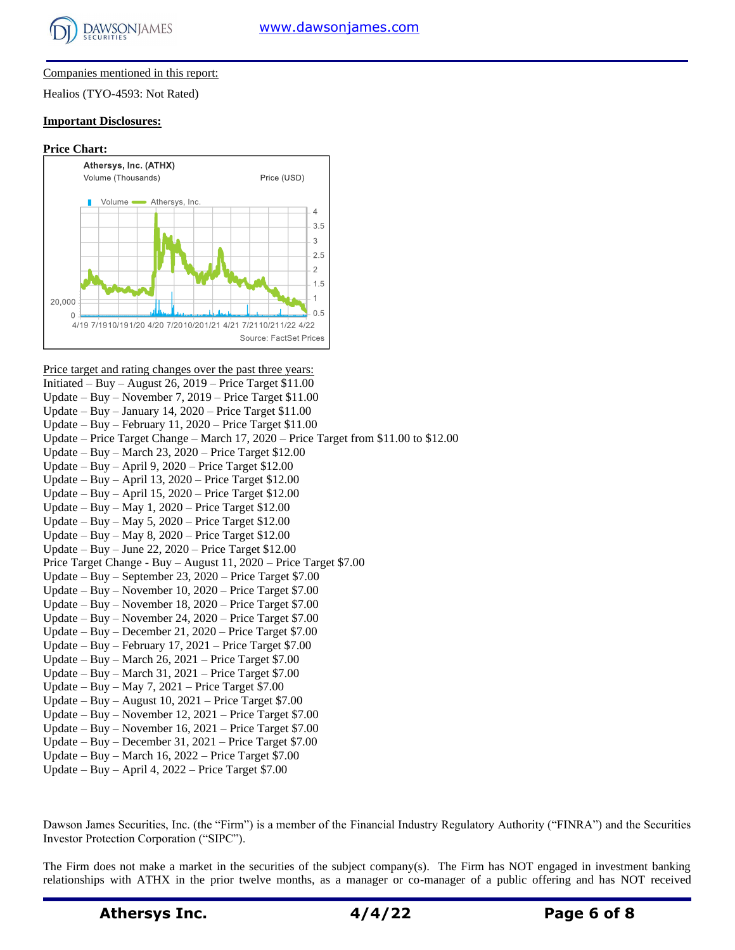

#### Companies mentioned in this report:

Healios (TYO-4593: Not Rated)

#### **Important Disclosures:**

#### **Price Chart:**



Price target and rating changes over the past three years:

Initiated – Buy – August 26, 2019 – Price Target  $$11.00$ Update – Buy – November 7, 2019 – Price Target \$11.00 Update – Buy – January 14,  $2020$  – Price Target \$11.00 Update – Buy – February 11, 2020 – Price Target \$11.00 Update – Price Target Change – March 17, 2020 – Price Target from \$11.00 to \$12.00 Update – Buy – March 23, 2020 – Price Target \$12.00 Update – Buy – April 9, 2020 – Price Target \$12.00 Update – Buy – April 13, 2020 – Price Target \$12.00 Update – Buy – April 15, 2020 – Price Target \$12.00 Update – Buy – May 1, 2020 – Price Target \$12.00 Update – Buy – May 5, 2020 – Price Target \$12.00 Update – Buy – May 8, 2020 – Price Target \$12.00 Update – Buy – June 22, 2020 – Price Target \$12.00 Price Target Change - Buy – August 11, 2020 – Price Target \$7.00 Update – Buy – September 23, 2020 – Price Target \$7.00 Update – Buy – November 10, 2020 – Price Target \$7.00 Update – Buy – November 18, 2020 – Price Target \$7.00 Update – Buy – November 24, 2020 – Price Target \$7.00 Update – Buy – December 21, 2020 – Price Target \$7.00 Update – Buy – February 17, 2021 – Price Target \$7.00 Update – Buy – March 26, 2021 – Price Target \$7.00 Update – Buy – March 31, 2021 – Price Target \$7.00 Update – Buy – May 7, 2021 – Price Target \$7.00 Update – Buy – August  $10$ ,  $2021$  – Price Target \$7.00 Update – Buy – November 12, 2021 – Price Target \$7.00 Update – Buy – November 16, 2021 – Price Target \$7.00 Update – Buy – December 31, 2021 – Price Target \$7.00 Update – Buy – March 16, 2022 – Price Target \$7.00

Update – Buy – April 4, 2022 – Price Target \$7.00

Dawson James Securities, Inc. (the "Firm") is a member of the Financial Industry Regulatory Authority ("FINRA") and the Securities Investor Protection Corporation ("SIPC").

The Firm does not make a market in the securities of the subject company(s). The Firm has NOT engaged in investment banking relationships with ATHX in the prior twelve months, as a manager or co-manager of a public offering and has NOT received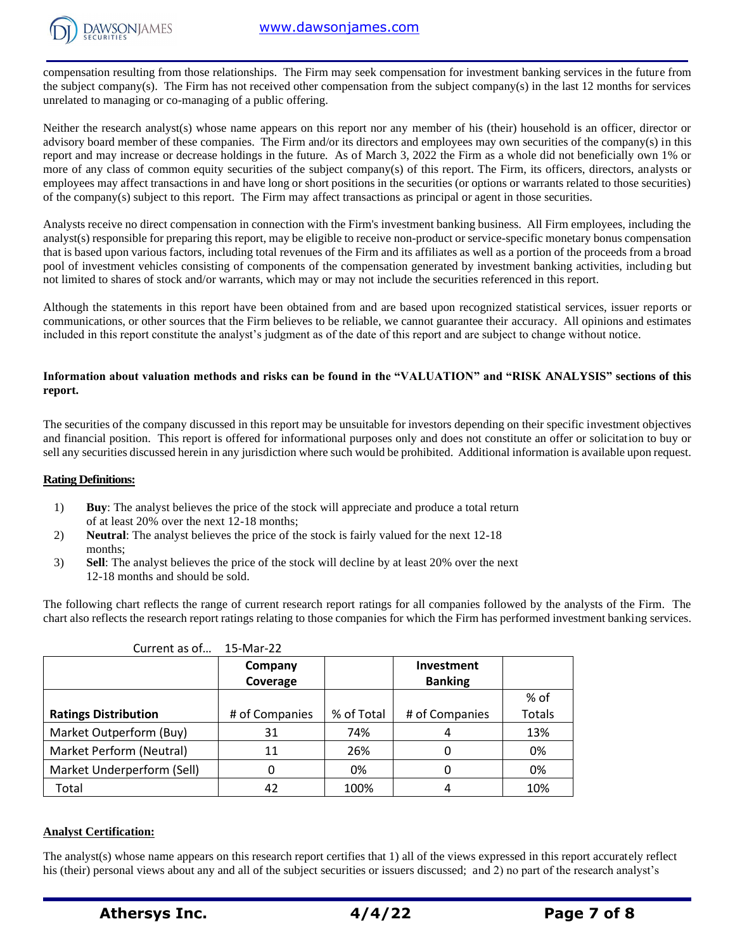

compensation resulting from those relationships. The Firm may seek compensation for investment banking services in the future from the subject company(s). The Firm has not received other compensation from the subject company(s) in the last 12 months for services unrelated to managing or co-managing of a public offering.

Neither the research analyst(s) whose name appears on this report nor any member of his (their) household is an officer, director or advisory board member of these companies. The Firm and/or its directors and employees may own securities of the company(s) in this report and may increase or decrease holdings in the future. As of March 3, 2022 the Firm as a whole did not beneficially own 1% or more of any class of common equity securities of the subject company(s) of this report. The Firm, its officers, directors, analysts or employees may affect transactions in and have long or short positions in the securities (or options or warrants related to those securities) of the company(s) subject to this report. The Firm may affect transactions as principal or agent in those securities.

Analysts receive no direct compensation in connection with the Firm's investment banking business. All Firm employees, including the analyst(s) responsible for preparing this report, may be eligible to receive non-product or service-specific monetary bonus compensation that is based upon various factors, including total revenues of the Firm and its affiliates as well as a portion of the proceeds from a broad pool of investment vehicles consisting of components of the compensation generated by investment banking activities, including but not limited to shares of stock and/or warrants, which may or may not include the securities referenced in this report.

Although the statements in this report have been obtained from and are based upon recognized statistical services, issuer reports or communications, or other sources that the Firm believes to be reliable, we cannot guarantee their accuracy. All opinions and estimates included in this report constitute the analyst's judgment as of the date of this report and are subject to change without notice.

### **Information about valuation methods and risks can be found in the "VALUATION" and "RISK ANALYSIS" sections of this report.**

The securities of the company discussed in this report may be unsuitable for investors depending on their specific investment objectives and financial position. This report is offered for informational purposes only and does not constitute an offer or solicitation to buy or sell any securities discussed herein in any jurisdiction where such would be prohibited. Additional information is available upon request.

#### **Rating Definitions:**

- 1) **Buy**: The analyst believes the price of the stock will appreciate and produce a total return of at least 20% over the next 12-18 months;
- 2) **Neutral**: The analyst believes the price of the stock is fairly valued for the next 12-18 months;
- 3) **Sell**: The analyst believes the price of the stock will decline by at least 20% over the next 12-18 months and should be sold.

The following chart reflects the range of current research report ratings for all companies followed by the analysts of the Firm. The chart also reflects the research report ratings relating to those companies for which the Firm has performed investment banking services.

| <u>Current us Or</u>        | LJ IVIUI LL    |            |                   |        |
|-----------------------------|----------------|------------|-------------------|--------|
|                             | Company        |            | <b>Investment</b> |        |
|                             | Coverage       |            | <b>Banking</b>    |        |
|                             |                |            |                   | % of   |
| <b>Ratings Distribution</b> | # of Companies | % of Total | # of Companies    | Totals |
| Market Outperform (Buy)     | 31             | 74%        | 4                 | 13%    |
| Market Perform (Neutral)    | 11             | 26%        | 0                 | 0%     |
| Market Underperform (Sell)  | 0              | 0%         |                   | 0%     |
| Total                       | 42             | 100%       | 4                 | 10%    |

| Current as of | 15-Mar-22 |
|---------------|-----------|
|---------------|-----------|

#### **Analyst Certification:**

The analyst(s) whose name appears on this research report certifies that 1) all of the views expressed in this report accurately reflect his (their) personal views about any and all of the subject securities or issuers discussed; and 2) no part of the research analyst's